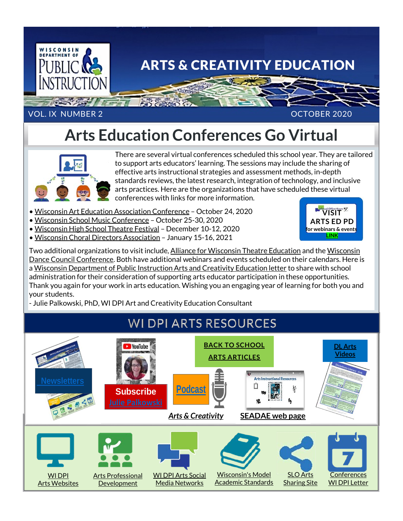

## **Arts Education Conferences Go Virtual**



There are several virtual conferences scheduled this school year. They are tailored to support arts educators' learning. The sessions may include the sharing of effective arts instructional strategies and assessment methods, in-depth standards reviews, the latest research, integration of technology, and inclusive arts practices. Here are the organizations that have scheduled these virtual conferences with links for more information.

- [Wisconsin Art Education Association Conference](https://waea2020vision.weebly.com/) October 24, 2020
- [Wisconsin School Music Conference](http://wmeamusic.org/conference/) October 25-30, 2020
- [Wisconsin High School Theatre Festival](https://www.whsfa.org/state-theatre/) December 10-12, 2020
- [Wisconsin Choral Directors Association](https://www.wischoral.org/state-conference) January 15-16, 2021



Two additional organizations to visit include, [Alliance for Wisconsin](https://www.awte.net/conference) Theatre Education and the Wisconsin [Dance Council Conference.](https://wisconsindancecouncil.org/2019/02/25/save-the-date-for-the-wisconsin-dance-councils-annual-conference-august-17-2019/) Both have additional webinars and events scheduled on their calendars. Here is a [Wisconsin Department of Public Instruction Arts and Creativity Education letter](https://dpi.wi.gov/sites/default/files/imce/fine-arts/C_I_Director_Ltr-Aug_2020.pdf) to share with school administration for their consideration of supporting arts educator participation in these opportunities. Thank you again for your work in arts education. Wishing you an engaging year of learning for both you and your students.

- Julie Palkowski, PhD, WI DPI Art and Creativity Education Consultant

## **WI DPI ARTS RESOURCES**